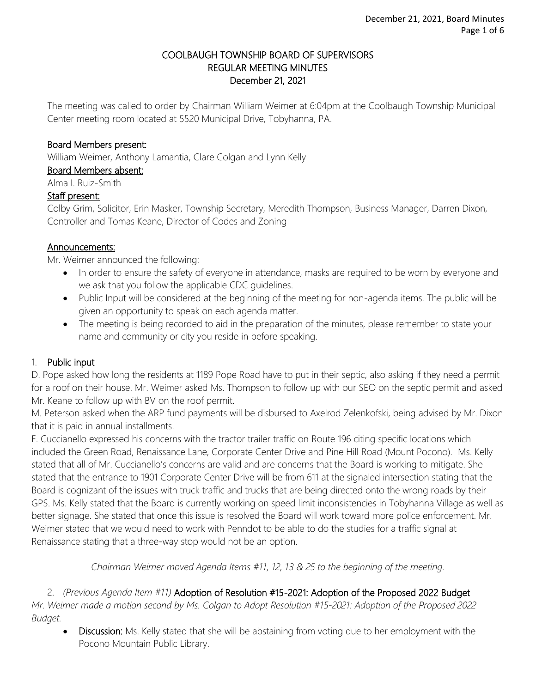#### COOLBAUGH TOWNSHIP BOARD OF SUPERVISORS REGULAR MEETING MINUTES December 21, 2021

The meeting was called to order by Chairman William Weimer at 6:04pm at the Coolbaugh Township Municipal Center meeting room located at 5520 Municipal Drive, Tobyhanna, PA.

#### Board Members present:

William Weimer, Anthony Lamantia, Clare Colgan and Lynn Kelly

Board Members absent:

Alma I. Ruiz-Smith

#### Staff present:

Colby Grim, Solicitor, Erin Masker, Township Secretary, Meredith Thompson, Business Manager, Darren Dixon, Controller and Tomas Keane, Director of Codes and Zoning

#### Announcements:

Mr. Weimer announced the following:

- In order to ensure the safety of everyone in attendance, masks are required to be worn by everyone and we ask that you follow the applicable CDC guidelines.
- Public Input will be considered at the beginning of the meeting for non-agenda items. The public will be given an opportunity to speak on each agenda matter.
- The meeting is being recorded to aid in the preparation of the minutes, please remember to state your name and community or city you reside in before speaking.

### 1. Public input

D. Pope asked how long the residents at 1189 Pope Road have to put in their septic, also asking if they need a permit for a roof on their house. Mr. Weimer asked Ms. Thompson to follow up with our SEO on the septic permit and asked Mr. Keane to follow up with BV on the roof permit.

M. Peterson asked when the ARP fund payments will be disbursed to Axelrod Zelenkofski, being advised by Mr. Dixon that it is paid in annual installments.

F. Cuccianello expressed his concerns with the tractor trailer traffic on Route 196 citing specific locations which included the Green Road, Renaissance Lane, Corporate Center Drive and Pine Hill Road (Mount Pocono). Ms. Kelly stated that all of Mr. Cuccianello's concerns are valid and are concerns that the Board is working to mitigate. She stated that the entrance to 1901 Corporate Center Drive will be from 611 at the signaled intersection stating that the Board is cognizant of the issues with truck traffic and trucks that are being directed onto the wrong roads by their GPS. Ms. Kelly stated that the Board is currently working on speed limit inconsistencies in Tobyhanna Village as well as better signage. She stated that once this issue is resolved the Board will work toward more police enforcement. Mr. Weimer stated that we would need to work with Penndot to be able to do the studies for a traffic signal at Renaissance stating that a three-way stop would not be an option.

*Chairman Weimer moved Agenda Items #11, 12, 13 & 25 to the beginning of the meeting.*

2. *(Previous Agenda Item #11)* Adoption of Resolution #15-2021: Adoption of the Proposed 2022 Budget *Mr. Weimer made a motion second by Ms. Colgan to Adopt Resolution #15-2021: Adoption of the Proposed 2022 Budget.*

• Discussion: Ms. Kelly stated that she will be abstaining from voting due to her employment with the Pocono Mountain Public Library.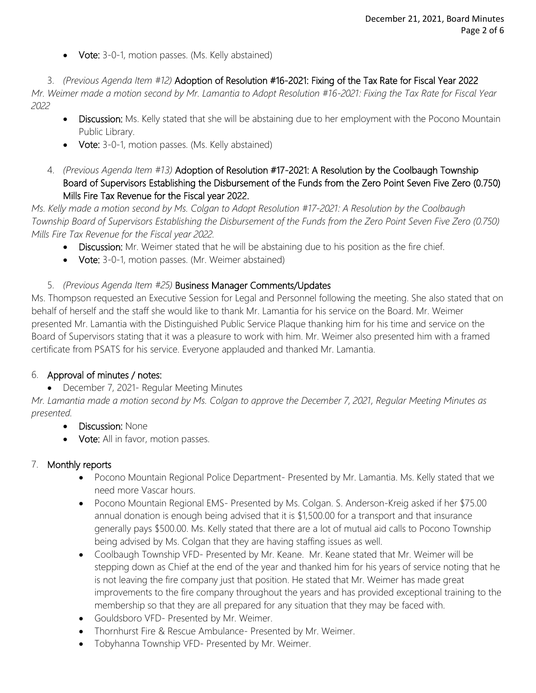• Vote: 3-0-1, motion passes. (Ms. Kelly abstained)

3. *(Previous Agenda Item #12)* Adoption of Resolution #16-2021: Fixing of the Tax Rate for Fiscal Year 2022

*Mr. Weimer made a motion second by Mr. Lamantia to Adopt Resolution #16-2021: Fixing the Tax Rate for Fiscal Year 2022*

- Discussion: Ms. Kelly stated that she will be abstaining due to her employment with the Pocono Mountain Public Library.
- Vote: 3-0-1, motion passes. (Ms. Kelly abstained)
- 4. *(Previous Agenda Item #13)* Adoption of Resolution #17-2021: A Resolution by the Coolbaugh Township Board of Supervisors Establishing the Disbursement of the Funds from the Zero Point Seven Five Zero (0.750) Mills Fire Tax Revenue for the Fiscal year 2022.

*Ms. Kelly made a motion second by Ms. Colgan to Adopt Resolution #17-2021: A Resolution by the Coolbaugh Township Board of Supervisors Establishing the Disbursement of the Funds from the Zero Point Seven Five Zero (0.750) Mills Fire Tax Revenue for the Fiscal year 2022.*

- Discussion: Mr. Weimer stated that he will be abstaining due to his position as the fire chief.
- Vote: 3-0-1, motion passes. (Mr. Weimer abstained)

### 5. *(Previous Agenda Item #25)* Business Manager Comments/Updates

Ms. Thompson requested an Executive Session for Legal and Personnel following the meeting. She also stated that on behalf of herself and the staff she would like to thank Mr. Lamantia for his service on the Board. Mr. Weimer presented Mr. Lamantia with the Distinguished Public Service Plaque thanking him for his time and service on the Board of Supervisors stating that it was a pleasure to work with him. Mr. Weimer also presented him with a framed certificate from PSATS for his service. Everyone applauded and thanked Mr. Lamantia.

### 6. Approval of minutes / notes:

• December 7, 2021- Regular Meeting Minutes

*Mr. Lamantia made a motion second by Ms. Colgan to approve the December 7, 2021, Regular Meeting Minutes as presented.*

- **Discussion: None**
- Vote: All in favor, motion passes.

### 7. Monthly reports

- Pocono Mountain Regional Police Department- Presented by Mr. Lamantia. Ms. Kelly stated that we need more Vascar hours.
- Pocono Mountain Regional EMS- Presented by Ms. Colgan. S. Anderson-Kreig asked if her \$75.00 annual donation is enough being advised that it is \$1,500.00 for a transport and that insurance generally pays \$500.00. Ms. Kelly stated that there are a lot of mutual aid calls to Pocono Township being advised by Ms. Colgan that they are having staffing issues as well.
- Coolbaugh Township VFD- Presented by Mr. Keane. Mr. Keane stated that Mr. Weimer will be stepping down as Chief at the end of the year and thanked him for his years of service noting that he is not leaving the fire company just that position. He stated that Mr. Weimer has made great improvements to the fire company throughout the years and has provided exceptional training to the membership so that they are all prepared for any situation that they may be faced with.
- Gouldsboro VFD- Presented by Mr. Weimer.
- Thornhurst Fire & Rescue Ambulance- Presented by Mr. Weimer.
- Tobyhanna Township VFD- Presented by Mr. Weimer.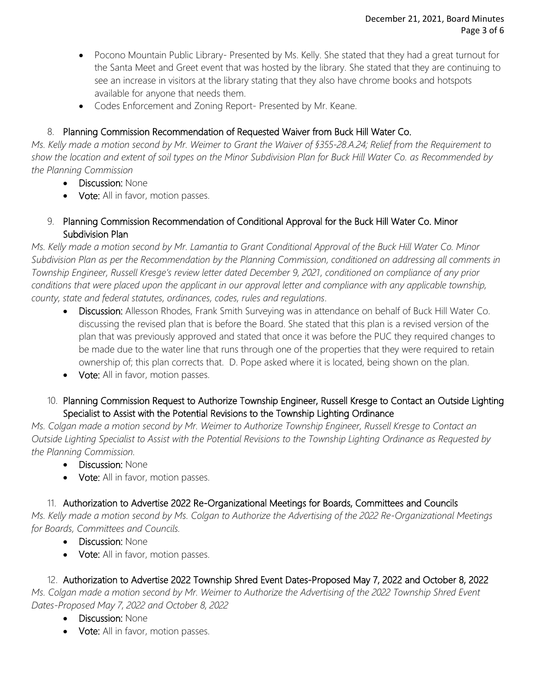- Pocono Mountain Public Library- Presented by Ms. Kelly. She stated that they had a great turnout for the Santa Meet and Greet event that was hosted by the library. She stated that they are continuing to see an increase in visitors at the library stating that they also have chrome books and hotspots available for anyone that needs them.
- Codes Enforcement and Zoning Report- Presented by Mr. Keane.

# 8. Planning Commission Recommendation of Requested Waiver from Buck Hill Water Co.

*Ms. Kelly made a motion second by Mr. Weimer to Grant the Waiver of §355-28.A.24; Relief from the Requirement to show the location and extent of soil types on the Minor Subdivision Plan for Buck Hill Water Co. as Recommended by the Planning Commission* 

- Discussion: None
- Vote: All in favor, motion passes.
- 9. Planning Commission Recommendation of Conditional Approval for the Buck Hill Water Co. Minor Subdivision Plan

*Ms. Kelly made a motion second by Mr. Lamantia to Grant Conditional Approval of the Buck Hill Water Co. Minor Subdivision Plan as per the Recommendation by the Planning Commission, conditioned on addressing all comments in Township Engineer, Russell Kresge's review letter dated December 9, 2021, conditioned on compliance of any prior conditions that were placed upon the applicant in our approval letter and compliance with any applicable township, county, state and federal statutes, ordinances, codes, rules and regulations.* 

- Discussion: Allesson Rhodes, Frank Smith Surveying was in attendance on behalf of Buck Hill Water Co. discussing the revised plan that is before the Board. She stated that this plan is a revised version of the plan that was previously approved and stated that once it was before the PUC they required changes to be made due to the water line that runs through one of the properties that they were required to retain ownership of; this plan corrects that. D. Pope asked where it is located, being shown on the plan.
- Vote: All in favor, motion passes.
- 10. Planning Commission Request to Authorize Township Engineer, Russell Kresge to Contact an Outside Lighting Specialist to Assist with the Potential Revisions to the Township Lighting Ordinance

*Ms. Colgan made a motion second by Mr. Weimer to Authorize Township Engineer, Russell Kresge to Contact an Outside Lighting Specialist to Assist with the Potential Revisions to the Township Lighting Ordinance as Requested by the Planning Commission.* 

- **Discussion: None**
- Vote: All in favor, motion passes.

# 11. Authorization to Advertise 2022 Re-Organizational Meetings for Boards, Committees and Councils

*Ms. Kelly made a motion second by Ms. Colgan to Authorize the Advertising of the 2022 Re-Organizational Meetings for Boards, Committees and Councils.*

- Discussion: None
- Vote: All in favor, motion passes.

12. Authorization to Advertise 2022 Township Shred Event Dates-Proposed May 7, 2022 and October 8, 2022

*Ms. Colgan made a motion second by Mr. Weimer to Authorize the Advertising of the 2022 Township Shred Event Dates-Proposed May 7, 2022 and October 8, 2022*

- Discussion: None
- Vote: All in favor, motion passes.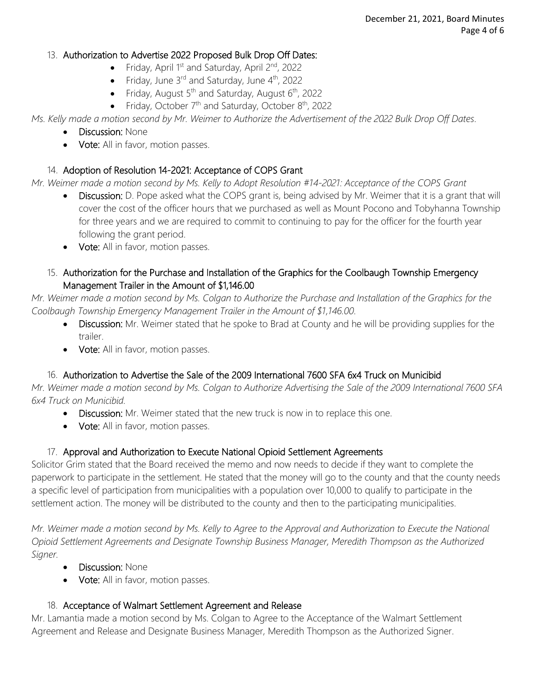### 13. Authorization to Advertise 2022 Proposed Bulk Drop Off Dates:

- Friday, April 1<sup>st</sup> and Saturday, April 2<sup>nd</sup>, 2022
- Friday, June  $3^{rd}$  and Saturday, June  $4^{th}$ , 2022
- Friday, August 5<sup>th</sup> and Saturday, August 6<sup>th</sup>, 2022
- Friday, October  $7<sup>th</sup>$  and Saturday, October  $8<sup>th</sup>$ , 2022

*Ms. Kelly made a motion second by Mr. Weimer to Authorize the Advertisement of the 2022 Bulk Drop Off Dates.* 

- Discussion: None
- Vote: All in favor, motion passes.

# 14. Adoption of Resolution 14-2021: Acceptance of COPS Grant

*Mr. Weimer made a motion second by Ms. Kelly to Adopt Resolution #14-2021: Acceptance of the COPS Grant*

- Discussion: D. Pope asked what the COPS grant is, being advised by Mr. Weimer that it is a grant that will cover the cost of the officer hours that we purchased as well as Mount Pocono and Tobyhanna Township for three years and we are required to commit to continuing to pay for the officer for the fourth year following the grant period.
- Vote: All in favor, motion passes.
- 15. Authorization for the Purchase and Installation of the Graphics for the Coolbaugh Township Emergency Management Trailer in the Amount of \$1,146.00

*Mr. Weimer made a motion second by Ms. Colgan to Authorize the Purchase and Installation of the Graphics for the Coolbaugh Township Emergency Management Trailer in the Amount of \$1,146.00.*

- Discussion: Mr. Weimer stated that he spoke to Brad at County and he will be providing supplies for the trailer.
- Vote: All in favor, motion passes.

# 16. Authorization to Advertise the Sale of the 2009 International 7600 SFA 6x4 Truck on Municibid

*Mr. Weimer made a motion second by Ms. Colgan to Authorize Advertising the Sale of the 2009 International 7600 SFA 6x4 Truck on Municibid.*

- Discussion: Mr. Weimer stated that the new truck is now in to replace this one.
- Vote: All in favor, motion passes.

# 17. Approval and Authorization to Execute National Opioid Settlement Agreements

Solicitor Grim stated that the Board received the memo and now needs to decide if they want to complete the paperwork to participate in the settlement. He stated that the money will go to the county and that the county needs a specific level of participation from municipalities with a population over 10,000 to qualify to participate in the settlement action. The money will be distributed to the county and then to the participating municipalities.

*Mr. Weimer made a motion second by Ms. Kelly to Agree to the Approval and Authorization to Execute the National Opioid Settlement Agreements and Designate Township Business Manager, Meredith Thompson as the Authorized Signer.* 

- Discussion: None
- Vote: All in favor, motion passes.

# 18. Acceptance of Walmart Settlement Agreement and Release

Mr. Lamantia made a motion second by Ms. Colgan to Agree to the Acceptance of the Walmart Settlement Agreement and Release and Designate Business Manager, Meredith Thompson as the Authorized Signer.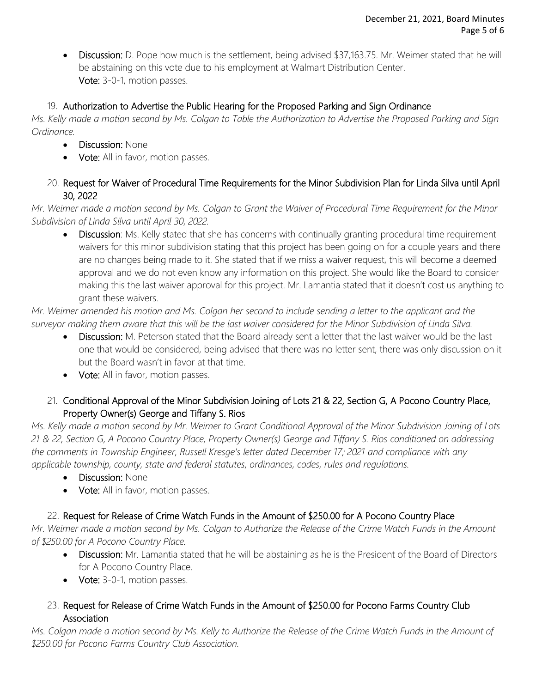• Discussion: D. Pope how much is the settlement, being advised \$37,163.75. Mr. Weimer stated that he will be abstaining on this vote due to his employment at Walmart Distribution Center. Vote: 3-0-1, motion passes.

### 19. Authorization to Advertise the Public Hearing for the Proposed Parking and Sign Ordinance

*Ms. Kelly made a motion second by Ms. Colgan to Table the Authorization to Advertise the Proposed Parking and Sign Ordinance.*

- Discussion: None
- Vote: All in favor, motion passes.
- 20. Request for Waiver of Procedural Time Requirements for the Minor Subdivision Plan for Linda Silva until April 30, 2022

*Mr. Weimer made a motion second by Ms. Colgan to Grant the Waiver of Procedural Time Requirement for the Minor Subdivision of Linda Silva until April 30, 2022.*

• Discussion: Ms. Kelly stated that she has concerns with continually granting procedural time requirement waivers for this minor subdivision stating that this project has been going on for a couple years and there are no changes being made to it. She stated that if we miss a waiver request, this will become a deemed approval and we do not even know any information on this project. She would like the Board to consider making this the last waiver approval for this project. Mr. Lamantia stated that it doesn't cost us anything to grant these waivers.

*Mr. Weimer amended his motion and Ms. Colgan her second to include sending a letter to the applicant and the surveyor making them aware that this will be the last waiver considered for the Minor Subdivision of Linda Silva.* 

- Discussion: M. Peterson stated that the Board already sent a letter that the last waiver would be the last one that would be considered, being advised that there was no letter sent, there was only discussion on it but the Board wasn't in favor at that time.
- Vote: All in favor, motion passes.
- 21. Conditional Approval of the Minor Subdivision Joining of Lots 21 & 22, Section G, A Pocono Country Place, Property Owner(s) George and Tiffany S. Rios

*Ms. Kelly made a motion second by Mr. Weimer to Grant Conditional Approval of the Minor Subdivision Joining of Lots 21 & 22, Section G, A Pocono Country Place, Property Owner(s) George and Tiffany S. Rios conditioned on addressing the comments in Township Engineer, Russell Kresge's letter dated December 17, , 2021 and compliance with any applicable township, county, state and federal statutes, ordinances, codes, rules and regulations.* 

- Discussion: None
- Vote: All in favor, motion passes.

# 22. Request for Release of Crime Watch Funds in the Amount of \$250.00 for A Pocono Country Place

*Mr. Weimer made a motion second by Ms. Colgan to Authorize the Release of the Crime Watch Funds in the Amount of \$250.00 for A Pocono Country Place.*

- Discussion: Mr. Lamantia stated that he will be abstaining as he is the President of the Board of Directors for A Pocono Country Place.
- Vote: 3-0-1, motion passes.
- 23. Request for Release of Crime Watch Funds in the Amount of \$250.00 for Pocono Farms Country Club **Association**

*Ms. Colgan made a motion second by Ms. Kelly to Authorize the Release of the Crime Watch Funds in the Amount of \$250.00 for Pocono Farms Country Club Association.*